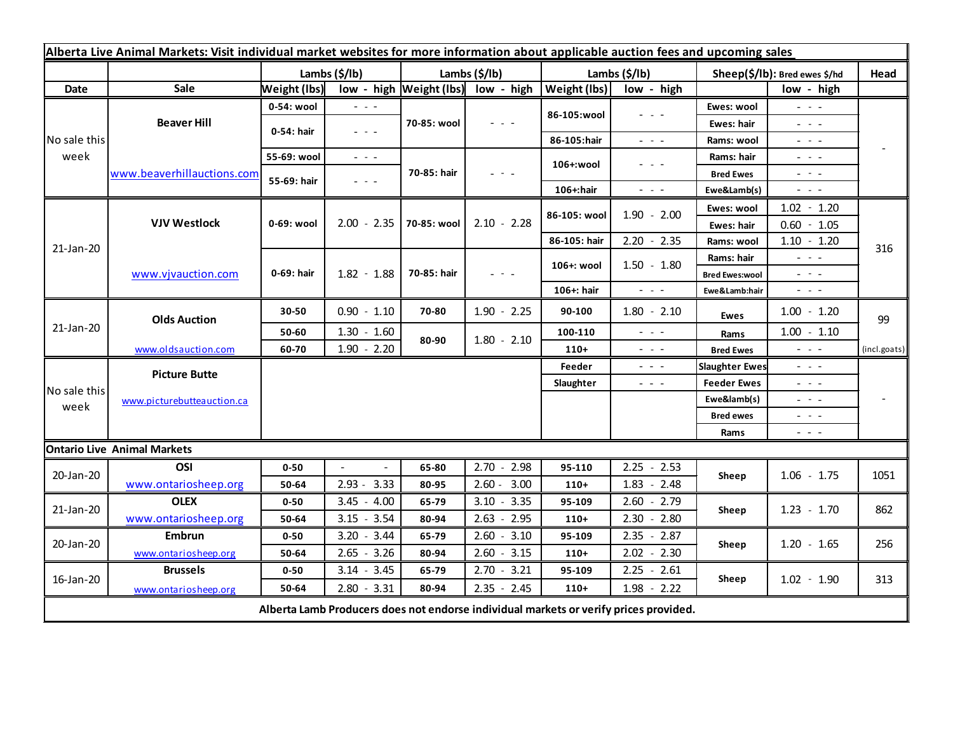| Alberta Live Animal Markets: Visit individual market websites for more information about applicable auction fees and upcoming sales |                            |                           |                                                                                                                           |                           |                                                                                                                           |                       |                                                                                                                           |                               |                                                                                                                                                                                                                                                                                                                                                                                                                                                |              |
|-------------------------------------------------------------------------------------------------------------------------------------|----------------------------|---------------------------|---------------------------------------------------------------------------------------------------------------------------|---------------------------|---------------------------------------------------------------------------------------------------------------------------|-----------------------|---------------------------------------------------------------------------------------------------------------------------|-------------------------------|------------------------------------------------------------------------------------------------------------------------------------------------------------------------------------------------------------------------------------------------------------------------------------------------------------------------------------------------------------------------------------------------------------------------------------------------|--------------|
|                                                                                                                                     |                            | Lambs $(\frac{2}{3})$ lb) |                                                                                                                           | Lambs $(\frac{2}{3})$ lb) |                                                                                                                           | Lambs $(\frac{2}{3})$ |                                                                                                                           | Sheep(\$/lb): Bred ewes \$/hd |                                                                                                                                                                                                                                                                                                                                                                                                                                                | Head         |
| <b>Date</b>                                                                                                                         | Sale                       | Weight (lbs)              |                                                                                                                           |                           | low - high $\vert$ Weight (lbs) low - high                                                                                | Weight (lbs)          | low - high                                                                                                                |                               | low - high                                                                                                                                                                                                                                                                                                                                                                                                                                     |              |
| No sale this<br>week                                                                                                                | <b>Beaver Hill</b>         | 0-54: wool                | $\sim$ $\sim$ $\sim$                                                                                                      | 70-85: wool               | $\frac{1}{2} \left( \frac{1}{2} \right) \left( \frac{1}{2} \right) \left( \frac{1}{2} \right)$                            | 86-105:wool           | $  -$                                                                                                                     | Ewes: wool                    | $\sim$ 100 $\sim$                                                                                                                                                                                                                                                                                                                                                                                                                              |              |
|                                                                                                                                     |                            | 0-54: hair                | $\omega_{\rm{eff}}=0.1$                                                                                                   |                           |                                                                                                                           |                       |                                                                                                                           | Ewes: hair                    | $\omega_{\rm{eff}}$ and $\omega_{\rm{eff}}$                                                                                                                                                                                                                                                                                                                                                                                                    |              |
|                                                                                                                                     |                            |                           |                                                                                                                           |                           |                                                                                                                           | 86-105:hair           | $ -$                                                                                                                      | Rams: wool                    | $\omega_{\rm{eff}}$ and $\omega_{\rm{eff}}$                                                                                                                                                                                                                                                                                                                                                                                                    |              |
|                                                                                                                                     | www.beaverhillauctions.com | 55-69: wool               | $\omega_{\rm{eff}}$ and $\omega_{\rm{eff}}$                                                                               | 70-85: hair               | $\frac{1}{2} \left( \frac{1}{2} \right) \left( \frac{1}{2} \right) \left( \frac{1}{2} \right) \left( \frac{1}{2} \right)$ | 106+:wool             | $  -$                                                                                                                     | Rams: hair                    | $  -$                                                                                                                                                                                                                                                                                                                                                                                                                                          |              |
|                                                                                                                                     |                            | 55-69: hair               | $\frac{1}{2} \left( \frac{1}{2} \right) \left( \frac{1}{2} \right) \left( \frac{1}{2} \right) \left( \frac{1}{2} \right)$ |                           |                                                                                                                           |                       |                                                                                                                           | <b>Bred Ewes</b>              | $\sim$ 100 $\sim$                                                                                                                                                                                                                                                                                                                                                                                                                              |              |
|                                                                                                                                     |                            |                           |                                                                                                                           |                           |                                                                                                                           | 106+:hair             | $\frac{1}{2} \left( \frac{1}{2} \right) \left( \frac{1}{2} \right) \left( \frac{1}{2} \right) \left( \frac{1}{2} \right)$ | Ewe&Lamb(s)                   | $\sim$ 10 $\sim$                                                                                                                                                                                                                                                                                                                                                                                                                               |              |
| 21-Jan-20                                                                                                                           | <b>VJV Westlock</b>        | 0-69: wool                | $2.00 - 2.35$                                                                                                             | 70-85: wool               | $2.10 - 2.28$                                                                                                             | 86-105: wool          | $1.90 - 2.00$                                                                                                             | Ewes: wool                    | $1.02 - 1.20$                                                                                                                                                                                                                                                                                                                                                                                                                                  |              |
|                                                                                                                                     |                            |                           |                                                                                                                           |                           |                                                                                                                           |                       |                                                                                                                           | Ewes: hair                    | $0.60 - 1.05$                                                                                                                                                                                                                                                                                                                                                                                                                                  |              |
|                                                                                                                                     |                            |                           |                                                                                                                           |                           |                                                                                                                           | 86-105: hair          | $2.20 - 2.35$                                                                                                             | Rams: wool                    | $1.10 - 1.20$                                                                                                                                                                                                                                                                                                                                                                                                                                  | 316          |
|                                                                                                                                     | www.vjvauction.com         | 0-69: hair                | $1.82 - 1.88$                                                                                                             | 70-85: hair               | $  -$                                                                                                                     | 106+: wool            | $1.50 - 1.80$                                                                                                             | Rams: hair                    | $\frac{1}{2} \left( \frac{1}{2} \right) \left( \frac{1}{2} \right) \left( \frac{1}{2} \right) \left( \frac{1}{2} \right)$                                                                                                                                                                                                                                                                                                                      |              |
|                                                                                                                                     |                            |                           |                                                                                                                           |                           |                                                                                                                           |                       |                                                                                                                           | <b>Bred Ewes:wool</b>         | $\sim$ 100 $\sim$                                                                                                                                                                                                                                                                                                                                                                                                                              |              |
|                                                                                                                                     |                            |                           |                                                                                                                           |                           |                                                                                                                           | 106+: hair            | $\omega_{\rm{eff}}$ and $\omega_{\rm{eff}}$                                                                               | Ewe&Lamb:hair                 | $\sim$ 100 $\sim$                                                                                                                                                                                                                                                                                                                                                                                                                              |              |
| 21-Jan-20                                                                                                                           | <b>Olds Auction</b>        | 30-50                     | $0.90 - 1.10$                                                                                                             | 70-80                     | $1.90 - 2.25$                                                                                                             | 90-100                | $1.80 - 2.10$                                                                                                             | <b>Ewes</b>                   | $1.00 - 1.20$                                                                                                                                                                                                                                                                                                                                                                                                                                  | 99           |
|                                                                                                                                     |                            | 50-60                     | $1.30 - 1.60$                                                                                                             | 80-90                     | $1.80 - 2.10$                                                                                                             | 100-110               | $  -$                                                                                                                     | Rams                          | $1.00 - 1.10$                                                                                                                                                                                                                                                                                                                                                                                                                                  |              |
|                                                                                                                                     | www.oldsauction.com        | 60-70                     | $1.90 - 2.20$                                                                                                             |                           |                                                                                                                           | $110+$                | $\frac{1}{2} \left( \frac{1}{2} \right) \left( \frac{1}{2} \right) \left( \frac{1}{2} \right) \left( \frac{1}{2} \right)$ | <b>Bred Ewes</b>              | $\sim$ 10 $\sim$                                                                                                                                                                                                                                                                                                                                                                                                                               | (incl.goats) |
| No sale this<br>week                                                                                                                | <b>Picture Butte</b>       |                           |                                                                                                                           |                           |                                                                                                                           | Feeder                | $\frac{1}{2} \left( \frac{1}{2} \right) \frac{1}{2} \left( \frac{1}{2} \right) \frac{1}{2} \left( \frac{1}{2} \right)$    | <b>Slaughter Ewes</b>         | $\frac{1}{2} \left( \frac{1}{2} \right) \left( \frac{1}{2} \right) \left( \frac{1}{2} \right) \left( \frac{1}{2} \right)$                                                                                                                                                                                                                                                                                                                      |              |
|                                                                                                                                     | www.picturebutteauction.ca |                           |                                                                                                                           |                           |                                                                                                                           | Slaughter             | $\frac{1}{2} \left( \frac{1}{2} \right) \left( \frac{1}{2} \right) \left( \frac{1}{2} \right)$                            | <b>Feeder Ewes</b>            | $\frac{1}{2} \left( \frac{1}{2} \right) \frac{1}{2} \left( \frac{1}{2} \right) \frac{1}{2} \left( \frac{1}{2} \right) \frac{1}{2} \left( \frac{1}{2} \right) \frac{1}{2} \left( \frac{1}{2} \right) \frac{1}{2} \left( \frac{1}{2} \right) \frac{1}{2} \left( \frac{1}{2} \right) \frac{1}{2} \left( \frac{1}{2} \right) \frac{1}{2} \left( \frac{1}{2} \right) \frac{1}{2} \left( \frac{1}{2} \right) \frac{1}{2} \left( \frac{1}{2} \right)$ |              |
|                                                                                                                                     |                            |                           |                                                                                                                           |                           |                                                                                                                           |                       |                                                                                                                           | Ewe&lamb(s)                   | $\frac{1}{2} \left( \frac{1}{2} \right) \left( \frac{1}{2} \right) \left( \frac{1}{2} \right) \left( \frac{1}{2} \right)$                                                                                                                                                                                                                                                                                                                      |              |
|                                                                                                                                     |                            |                           |                                                                                                                           |                           |                                                                                                                           |                       |                                                                                                                           | <b>Bred ewes</b>              | $\omega_{\rm{eff}}$ and $\omega_{\rm{eff}}$                                                                                                                                                                                                                                                                                                                                                                                                    |              |
|                                                                                                                                     |                            |                           |                                                                                                                           |                           |                                                                                                                           |                       |                                                                                                                           | Rams                          | $\frac{1}{2} \left( \frac{1}{2} \right) \frac{1}{2} \left( \frac{1}{2} \right) \frac{1}{2} \left( \frac{1}{2} \right) \frac{1}{2} \left( \frac{1}{2} \right) \frac{1}{2} \left( \frac{1}{2} \right) \frac{1}{2} \left( \frac{1}{2} \right) \frac{1}{2} \left( \frac{1}{2} \right) \frac{1}{2} \left( \frac{1}{2} \right) \frac{1}{2} \left( \frac{1}{2} \right) \frac{1}{2} \left( \frac{1}{2} \right) \frac{1}{2} \left( \frac{1}{2} \right)$ |              |
| <b>Ontario Live Animal Markets</b>                                                                                                  |                            |                           |                                                                                                                           |                           |                                                                                                                           |                       |                                                                                                                           |                               |                                                                                                                                                                                                                                                                                                                                                                                                                                                |              |
| 20-Jan-20                                                                                                                           | OSI                        | $0 - 50$                  | $\Box$                                                                                                                    | 65-80                     | $2.70 - 2.98$                                                                                                             | 95-110                | $2.25 - 2.53$                                                                                                             | Sheep                         | $1.06 - 1.75$                                                                                                                                                                                                                                                                                                                                                                                                                                  | 1051         |
|                                                                                                                                     | www.ontariosheep.org       | 50-64                     | $2.93 - 3.33$                                                                                                             | 80-95                     | $2.60 - 3.00$                                                                                                             | $110+$                | $1.83 - 2.48$                                                                                                             |                               |                                                                                                                                                                                                                                                                                                                                                                                                                                                |              |
| 21-Jan-20                                                                                                                           | <b>OLEX</b>                | $0 - 50$                  | $3.45 - 4.00$                                                                                                             | 65-79                     | $3.10 - 3.35$                                                                                                             | 95-109                | $2.60 - 2.79$                                                                                                             | Sheep                         | $1.23 - 1.70$                                                                                                                                                                                                                                                                                                                                                                                                                                  | 862          |
|                                                                                                                                     | www.ontariosheep.org       | 50-64                     | $3.15 - 3.54$                                                                                                             | 80-94                     | $2.63 - 2.95$                                                                                                             | $110+$                | $2.30 - 2.80$                                                                                                             |                               |                                                                                                                                                                                                                                                                                                                                                                                                                                                |              |
| 20-Jan-20                                                                                                                           | <b>Embrun</b>              | $0 - 50$                  | $3.20 - 3.44$                                                                                                             | 65-79                     | $2.60 - 3.10$                                                                                                             | 95-109                | $2.35 - 2.87$                                                                                                             | Sheep                         | $1.20 - 1.65$                                                                                                                                                                                                                                                                                                                                                                                                                                  | 256          |
|                                                                                                                                     | www.ontariosheep.org       | 50-64                     | $2.65 - 3.26$                                                                                                             | 80-94                     | $2.60 - 3.15$                                                                                                             | $110+$                | $2.02 - 2.30$                                                                                                             |                               |                                                                                                                                                                                                                                                                                                                                                                                                                                                |              |
| 16-Jan-20                                                                                                                           | <b>Brussels</b>            | $0 - 50$                  | $3.14 - 3.45$                                                                                                             | 65-79                     | $2.70 - 3.21$                                                                                                             | 95-109                | $2.25 - 2.61$                                                                                                             | Sheep                         | $1.02 - 1.90$                                                                                                                                                                                                                                                                                                                                                                                                                                  | 313          |
|                                                                                                                                     | www.ontariosheep.org       | 50-64                     | $2.80 - 3.31$                                                                                                             | 80-94                     | $2.35 - 2.45$                                                                                                             | $110+$                | $1.98 - 2.22$                                                                                                             |                               |                                                                                                                                                                                                                                                                                                                                                                                                                                                |              |
| Alberta Lamb Producers does not endorse individual markets or verify prices provided.                                               |                            |                           |                                                                                                                           |                           |                                                                                                                           |                       |                                                                                                                           |                               |                                                                                                                                                                                                                                                                                                                                                                                                                                                |              |